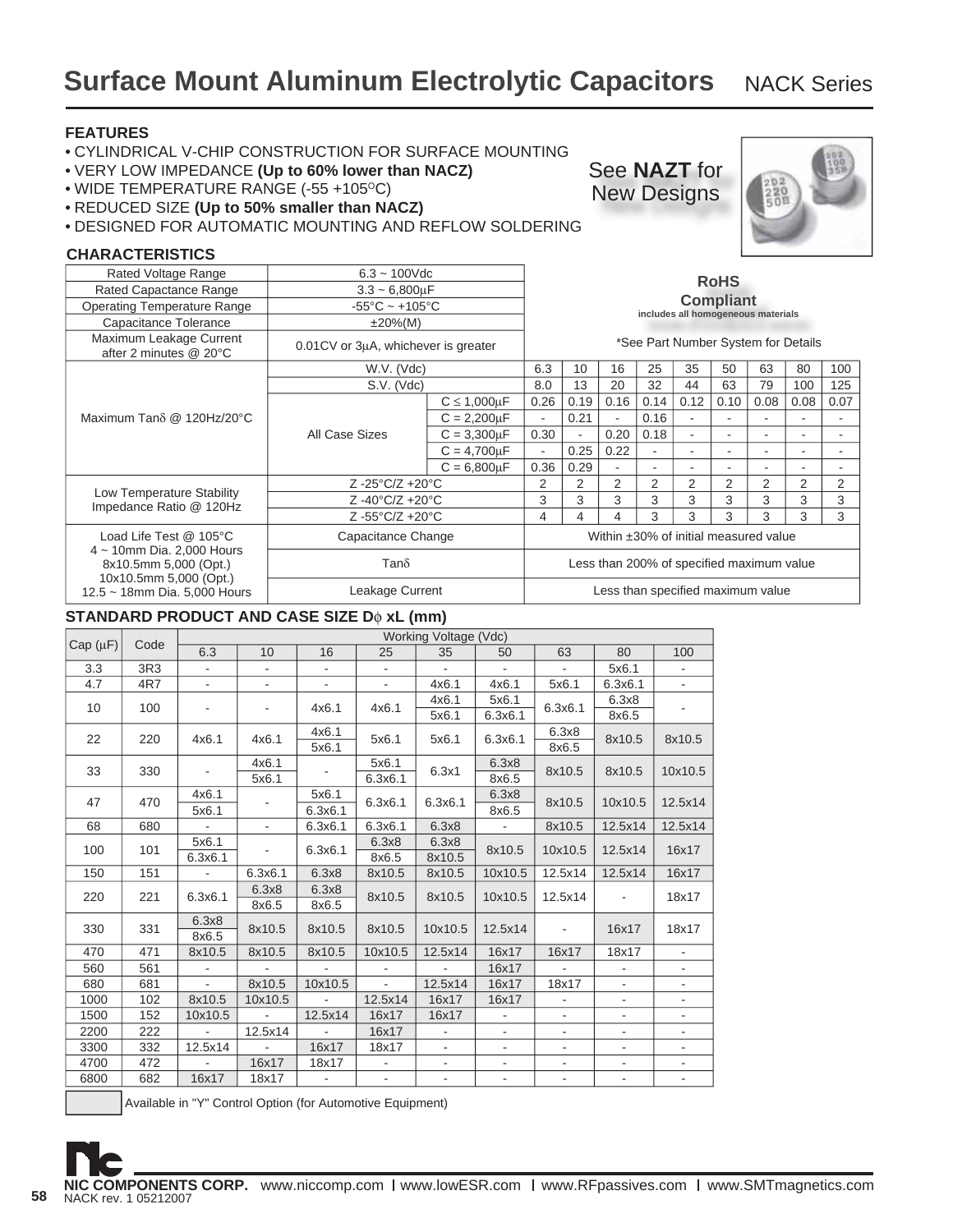### **FEATURES**

- CYLINDRICAL V-CHIP CONSTRUCTION FOR SURFACE MOUNTING
- VERY LOW IMPEDANCE **(Up to 60% lower than NACZ)**
- WIDE TEMPERATURE RANGE (-55 +105°C)
- REDUCED SIZE **(Up to 50% smaller than NACZ)**
- DESIGNED FOR AUTOMATIC MOUNTING AND REFLOW SOLDERING

#### **CHARACTERISTICS**

| Rated Voltage Range                                                                | $6.3 - 100$ Vdc                     |                      |                                       | <b>RoHS</b>                                            |                                           |      |                                     |                          |      |      |                |
|------------------------------------------------------------------------------------|-------------------------------------|----------------------|---------------------------------------|--------------------------------------------------------|-------------------------------------------|------|-------------------------------------|--------------------------|------|------|----------------|
| Rated Capactance Range                                                             | $3.3 - 6,800 \mu F$                 |                      |                                       |                                                        |                                           |      |                                     |                          |      |      |                |
| <b>Operating Temperature Range</b>                                                 | $-55^{\circ}$ C ~ $+105^{\circ}$ C  |                      |                                       | <b>Compliant</b><br>includes all homogeneous materials |                                           |      |                                     |                          |      |      |                |
| Capacitance Tolerance                                                              | $±20\%(M)$                          |                      |                                       |                                                        |                                           |      |                                     |                          |      |      |                |
| Maximum Leakage Current<br>after 2 minutes @ 20°C                                  | 0.01CV or 3µA, whichever is greater |                      |                                       |                                                        |                                           |      | *See Part Number System for Details |                          |      |      |                |
|                                                                                    | W.V. (Vdc)                          |                      | 6.3                                   | 10                                                     | 16                                        | 25   | 35                                  | 50                       | 63   | 80   | 100            |
|                                                                                    | S.V. (Vdc)                          |                      | 8.0                                   | 13                                                     | 20                                        | 32   | 44                                  | 63                       | 79   | 100  | 125            |
| Maximum Tano @ 120Hz/20°C                                                          |                                     | $C \leq 1,000 \mu F$ | 0.26                                  | 0.19                                                   | 0.16                                      | 0.14 | 0.12                                | 0.10                     | 0.08 | 0.08 | 0.07           |
|                                                                                    | All Case Sizes                      | $C = 2,200 \mu F$    |                                       | 0.21                                                   |                                           | 0.16 |                                     | $\overline{\phantom{a}}$ |      |      |                |
|                                                                                    |                                     | $C = 3,300 \mu F$    | 0.30                                  | $\blacksquare$                                         | 0.20                                      | 0.18 |                                     | $\overline{a}$           |      |      | ۰              |
|                                                                                    |                                     | $C = 4,700 \mu F$    |                                       | 0.25                                                   | 0.22                                      | ٠    |                                     | $\overline{\phantom{a}}$ |      |      | ۰              |
|                                                                                    |                                     | $C = 6,800 \mu F$    | 0.36                                  | 0.29                                                   |                                           |      |                                     | ٠                        |      |      |                |
|                                                                                    | $Z - 25^{\circ}C/Z + 20^{\circ}C$   |                      | 2                                     | 2                                                      | 2                                         | 2    | 2                                   | 2                        | 2    | 2    | $\overline{2}$ |
| Low Temperature Stability<br>Impedance Ratio @ 120Hz                               | $Z - 40^{\circ}C/Z + 20^{\circ}C$   |                      | 3                                     | 3                                                      | 3                                         | 3    | 3                                   | 3                        | 3    | 3    | 3              |
|                                                                                    | Z-55°C/Z +20°C                      |                      | 4                                     | 4                                                      | 4                                         | 3    | 3                                   | 3                        | 3    | 3    | 3              |
| Load Life Test @ 105°C                                                             | Capacitance Change                  |                      | Within ±30% of initial measured value |                                                        |                                           |      |                                     |                          |      |      |                |
| $4 \sim 10$ mm Dia. 2,000 Hours<br>8x10.5mm 5,000 (Opt.)<br>10x10.5mm 5,000 (Opt.) | $Tan\delta$                         |                      |                                       |                                                        | Less than 200% of specified maximum value |      |                                     |                          |      |      |                |
| 12.5 ~ 18mm Dia. 5,000 Hours                                                       | Leakage Current                     |                      | Less than specified maximum value     |                                                        |                                           |      |                                     |                          |      |      |                |

### **STANDARD PRODUCT AND CASE SIZE D**φ **xL (mm)**

|              |      |                          | Working Voltage (Vdc) |                          |                             |                          |                          |                          |                          |                |  |  |
|--------------|------|--------------------------|-----------------------|--------------------------|-----------------------------|--------------------------|--------------------------|--------------------------|--------------------------|----------------|--|--|
| $Cap(\mu F)$ | Code | 6.3                      | 10                    | 16                       | 25                          | 35                       | 50                       | 63                       | 80                       | 100            |  |  |
| 3.3          | 3R3  |                          |                       |                          |                             |                          | ÷.                       | $\sim$                   | 5x6.1                    |                |  |  |
| 4.7          | 4R7  | $\overline{\phantom{a}}$ | $\blacksquare$        | $\overline{\phantom{0}}$ | $\blacksquare$              | 4x6.1                    | 4x6.1                    | 5x6.1                    | 6.3x6.1                  |                |  |  |
| 10           | 100  |                          |                       | 4x6.1                    | 4x6.1                       | 4x6.1                    | 5x6.1                    | 6.3x6.1                  | 6.3x8                    |                |  |  |
|              |      |                          |                       |                          |                             | 5x6.1                    | 6.3x6.1                  |                          | 8x6.5                    |                |  |  |
| 22           | 220  | 4x6.1                    | 4x6.1                 | 4x6.1                    | 5x6.1                       | 5x6.1                    | 6.3x6.1                  | 6.3x8                    | 8x10.5                   | 8x10.5         |  |  |
|              |      |                          |                       | 5x6.1                    |                             |                          |                          | 8x6.5                    |                          |                |  |  |
| 33           | 330  |                          | 4x6.1                 |                          | 5x6.1                       | 6.3x1                    | 6.3x8                    | 8x10.5                   | 8x10.5                   | 10x10.5        |  |  |
|              |      |                          | 5x6.1                 |                          | 6.3x6.1                     |                          | 8x6.5                    |                          |                          |                |  |  |
| 47           | 470  | 4x6.1                    |                       | 5x6.1                    | 6.3x6.1                     | 6.3x6.1                  | 6.3x8                    | 8x10.5                   | 10x10.5                  | 12.5x14        |  |  |
|              |      | 5x6.1                    |                       | 6.3x6.1                  |                             |                          | 8x6.5                    |                          |                          |                |  |  |
| 68           | 680  | $\blacksquare$           | $\blacksquare$        | 6.3x6.1                  | 6.3x6.1                     | 6.3x8                    | $\blacksquare$           | 8x10.5                   | 12.5x14                  | 12.5x14        |  |  |
| 100          | 101  | 5x6.1                    |                       | 6.3x6.1                  | 6.3x8                       | 6.3x8                    | 8x10.5                   | 10x10.5                  | 12.5x14                  | 16x17          |  |  |
|              |      | 6.3x6.1                  |                       |                          | 8x6.5<br>8x10.5             |                          |                          |                          |                          |                |  |  |
| 150          | 151  |                          | 6.3x6.1               | 6.3x8                    | 8x10.5                      | 8x10.5                   | 10x10.5                  | 12.5x14                  | 12.5x14                  | 16x17          |  |  |
| 220          | 221  | 6.3x6.1                  | 6.3x8                 | 6.3x8                    | 8x10.5                      | 8x10.5                   | 10x10.5                  | 12.5x14                  | $\sim$                   | 18x17          |  |  |
|              |      |                          | 8x6.5                 | 8x6.5                    |                             |                          |                          |                          |                          |                |  |  |
| 330          | 331  | 6.3x8                    | 8x10.5                | 8x10.5                   | 8x10.5                      | 10x10.5                  | 12.5x14                  |                          | 16x17                    | 18x17          |  |  |
|              |      | 8x6.5                    |                       |                          |                             |                          |                          |                          |                          |                |  |  |
| 470          | 471  | 8x10.5                   | 8x10.5                | 8x10.5                   | 10x10.5                     | 12.5x14                  | 16x17                    | 16x17                    | 18x17                    | ÷,             |  |  |
| 560          | 561  | $\overline{\phantom{a}}$ |                       |                          | $\blacksquare$              | $\blacksquare$           | 16x17                    |                          | $\overline{\phantom{a}}$ |                |  |  |
| 680          | 681  | $\sim$                   | 8x10.5                | 10x10.5                  | $\mathcal{L}^{\mathcal{A}}$ | 12.5x14                  | 16x17                    | 18x17                    |                          |                |  |  |
| 1000         | 102  | 8x10.5                   | 10x10.5               | $\blacksquare$           | 12.5x14                     | 16x17                    | 16x17                    | $\overline{\phantom{a}}$ | $\overline{\phantom{a}}$ | $\blacksquare$ |  |  |
| 1500         | 152  | 10x10.5                  |                       | 12.5x14                  | 16x17                       | 16x17                    |                          |                          | $\overline{\phantom{a}}$ |                |  |  |
| 2200         | 222  | $\blacksquare$           | 12.5x14               | $\blacksquare$           | 16x17                       | $\overline{\phantom{a}}$ | $\overline{\phantom{0}}$ | $\overline{\phantom{a}}$ | $\overline{\phantom{a}}$ |                |  |  |
| 3300         | 332  | 12.5x14                  |                       | 16x17                    | 18x17                       | -                        |                          | $\overline{\phantom{a}}$ | $\overline{\phantom{a}}$ |                |  |  |
| 4700         | 472  |                          | 16x17                 | 18x17                    |                             | -                        | $\overline{\phantom{a}}$ | $\overline{\phantom{a}}$ | ٠                        | ۰              |  |  |
| 6800         | 682  | 16x17                    | 18x17                 | $\overline{\phantom{a}}$ | $\overline{\phantom{a}}$    | $\overline{\phantom{a}}$ | $\overline{\phantom{a}}$ | $\overline{\phantom{a}}$ | $\overline{\phantom{a}}$ | ٠              |  |  |

Available in "Y" Control Option (for Automotive Equipment)





See **NAZT** for New Designs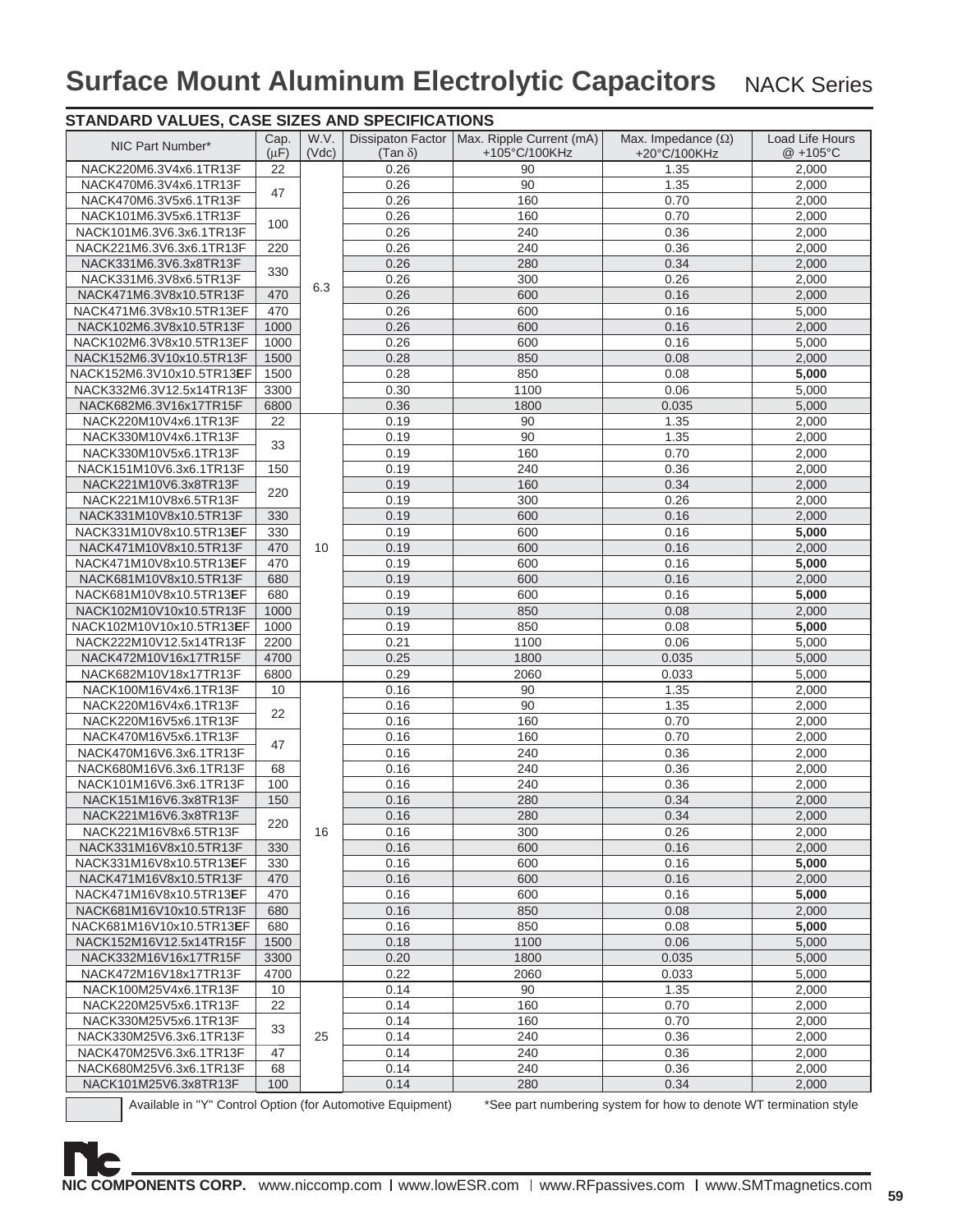| NIC Part Number*                                           | Cap.      | W.V.  | <b>Dissipaton Factor</b> | Max. Ripple Current (mA) | Max. Impedance $(\Omega)$                                         | Load Life Hours |
|------------------------------------------------------------|-----------|-------|--------------------------|--------------------------|-------------------------------------------------------------------|-----------------|
|                                                            | $(\mu F)$ | (Vdc) | $(Tan \delta)$           | +105°C/100KHz            | +20°C/100KHz                                                      | $@ + 105°C$     |
| NACK220M6.3V4x6.1TR13F                                     | 22        |       | 0.26                     | 90                       | 1.35                                                              | 2,000           |
| NACK470M6.3V4x6.1TR13F                                     | 47        |       | 0.26                     | 90                       | 1.35                                                              | 2,000           |
| NACK470M6.3V5x6.1TR13F                                     |           |       | 0.26                     | 160                      | 0.70                                                              | 2,000           |
| NACK101M6.3V5x6.1TR13F                                     | 100       |       | 0.26                     | 160                      | 0.70                                                              | 2,000           |
| NACK101M6.3V6.3x6.1TR13F                                   |           |       | 0.26                     | 240                      | 0.36                                                              | 2,000           |
| NACK221M6.3V6.3x6.1TR13F                                   | 220       |       | 0.26                     | 240                      | 0.36                                                              | 2,000           |
| NACK331M6.3V6.3x8TR13F                                     | 330       |       | 0.26                     | 280                      | 0.34                                                              | 2,000           |
| NACK331M6.3V8x6.5TR13F                                     |           | 6.3   | 0.26                     | 300                      | 0.26                                                              | 2,000           |
| NACK471M6.3V8x10.5TR13F                                    | 470       |       | 0.26                     | 600                      | 0.16                                                              | 2,000           |
| NACK471M6.3V8x10.5TR13EF                                   | 470       |       | 0.26                     | 600                      | 0.16                                                              | 5,000           |
| NACK102M6.3V8x10.5TR13F                                    | 1000      |       | 0.26                     | 600                      | 0.16                                                              | 2,000           |
| NACK102M6.3V8x10.5TR13EF                                   | 1000      |       | 0.26                     | 600                      | 0.16                                                              | 5,000           |
| NACK152M6.3V10x10.5TR13F                                   | 1500      |       | 0.28                     | 850                      | 0.08                                                              | 2,000           |
| NACK152M6.3V10x10.5TR13 <b>E</b> F                         | 1500      |       | 0.28                     | 850                      | 0.08                                                              | 5,000           |
| NACK332M6.3V12.5x14TR13F                                   | 3300      |       | 0.30                     | 1100                     | 0.06                                                              | 5,000           |
| NACK682M6.3V16x17TR15F                                     | 6800      |       | 0.36                     | 1800                     | 0.035                                                             | 5,000           |
| NACK220M10V4x6.1TR13F                                      | 22        |       | 0.19                     | 90                       | 1.35                                                              | 2,000           |
| NACK330M10V4x6.1TR13F                                      | 33        |       | 0.19                     | 90                       | 1.35                                                              | 2,000           |
| NACK330M10V5x6.1TR13F                                      |           |       | 0.19                     | 160                      | 0.70                                                              | 2,000           |
| NACK151M10V6.3x6.1TR13F                                    | 150       |       | 0.19                     | 240                      | 0.36                                                              | 2,000           |
| NACK221M10V6.3x8TR13F                                      | 220       |       | 0.19                     | 160                      | 0.34                                                              | 2,000           |
| NACK221M10V8x6.5TR13F                                      |           |       | 0.19                     | 300                      | 0.26                                                              | 2,000           |
| NACK331M10V8x10.5TR13F                                     | 330       |       | 0.19                     | 600                      | 0.16                                                              | 2,000           |
| NACK331M10V8x10.5TR13EF                                    | 330       |       | 0.19                     | 600                      | 0.16                                                              | 5,000           |
| NACK471M10V8x10.5TR13F                                     | 470       | 10    | 0.19                     | 600                      | 0.16                                                              | 2,000           |
| NACK471M10V8x10.5TR13EF                                    | 470       |       | 0.19                     | 600                      | 0.16                                                              | 5,000           |
| NACK681M10V8x10.5TR13F                                     | 680       |       | 0.19                     | 600                      | 0.16                                                              | 2,000           |
| NACK681M10V8x10.5TR13EF                                    | 680       |       | 0.19                     | 600                      | 0.16                                                              | 5,000           |
| NACK102M10V10x10.5TR13F                                    | 1000      |       | 0.19                     | 850                      | 0.08                                                              | 2,000           |
| NACK102M10V10x10.5TR13EF                                   | 1000      |       | 0.19                     | 850                      | 0.08                                                              | 5,000           |
| NACK222M10V12.5x14TR13F                                    | 2200      |       | 0.21                     | 1100                     | 0.06                                                              | 5,000           |
| NACK472M10V16x17TR15F                                      | 4700      |       | 0.25                     | 1800                     | 0.035                                                             | 5,000           |
| NACK682M10V18x17TR13F                                      | 6800      |       | 0.29                     | 2060                     | 0.033                                                             | 5,000           |
| NACK100M16V4x6.1TR13F                                      | 10        |       | 0.16                     | 90                       | 1.35                                                              | 2,000           |
| NACK220M16V4x6.1TR13F                                      | 22        |       | 0.16                     | 90                       | 1.35                                                              | 2,000           |
| NACK220M16V5x6.1TR13F                                      |           |       | 0.16                     | 160                      | 0.70                                                              | 2,000           |
| NACK470M16V5x6.1TR13F                                      |           |       | 0.16                     | 160                      | 0.70                                                              | 2,000           |
| NACK470M16V6.3x6.1TR13F                                    | 47        |       | 0.16                     | 240                      | 0.36                                                              | 2,000           |
| NACK680M16V6.3x6.1TR13F                                    | 68        |       | 0.16                     | 240                      | 0.36                                                              | 2,000           |
| NACK101M16V6.3x6.1TR13F                                    | 100       |       | 0.16                     | 240                      | 0.36                                                              | 2,000           |
| NACK151M16V6.3x8TR13F                                      | 150       |       | 0.16                     | 280                      | 0.34                                                              | 2,000           |
| NACK221M16V6.3x8TR13F                                      |           |       | 0.16                     | 280                      | 0.34                                                              | 2,000           |
| NACK221M16V8x6.5TR13F                                      | 220       | 16    | 0.16                     | 300                      | 0.26                                                              | 2,000           |
| NACK331M16V8x10.5TR13F                                     | 330       |       | 0.16                     | 600                      | 0.16                                                              | 2,000           |
| NACK331M16V8x10.5TR13EF                                    | 330       |       | 0.16                     | 600                      | 0.16                                                              | 5,000           |
| NACK471M16V8x10.5TR13F                                     | 470       |       | 0.16                     | 600                      | 0.16                                                              | 2,000           |
| NACK471M16V8x10.5TR13EF                                    | 470       |       | 0.16                     | 600                      | 0.16                                                              | 5,000           |
| NACK681M16V10x10.5TR13F                                    | 680       |       | 0.16                     | 850                      | 0.08                                                              | 2,000           |
| NACK681M16V10x10.5TR13EF                                   | 680       |       | 0.16                     | 850                      | 0.08                                                              | 5,000           |
| NACK152M16V12.5x14TR15F                                    | 1500      |       | 0.18                     | 1100                     | 0.06                                                              | 5,000           |
| NACK332M16V16x17TR15F                                      | 3300      |       | 0.20                     | 1800                     | 0.035                                                             | 5,000           |
| NACK472M16V18x17TR13F                                      | 4700      |       | 0.22                     | 2060                     | 0.033                                                             | 5,000           |
| NACK100M25V4x6.1TR13F                                      | 10        |       | 0.14                     | 90                       | 1.35                                                              | 2,000           |
| NACK220M25V5x6.1TR13F                                      | 22        |       | 0.14                     | 160                      | 0.70                                                              | 2,000           |
| NACK330M25V5x6.1TR13F                                      |           |       | 0.14                     | 160                      | 0.70                                                              | 2,000           |
| NACK330M25V6.3x6.1TR13F                                    | 33        | 25    | 0.14                     | 240                      | 0.36                                                              | 2,000           |
| NACK470M25V6.3x6.1TR13F                                    | 47        |       | 0.14                     | 240                      | 0.36                                                              | 2,000           |
| NACK680M25V6.3x6.1TR13F                                    | 68        |       | 0.14                     | 240                      | 0.36                                                              | 2,000           |
| NACK101M25V6.3x8TR13F                                      | 100       |       | 0.14                     | 280                      | 0.34                                                              | 2,000           |
| Available in "Y" Control Option (for Automotive Equipment) |           |       |                          |                          | *See part numbering system for how to denote WT termination style |                 |
|                                                            |           |       |                          |                          |                                                                   |                 |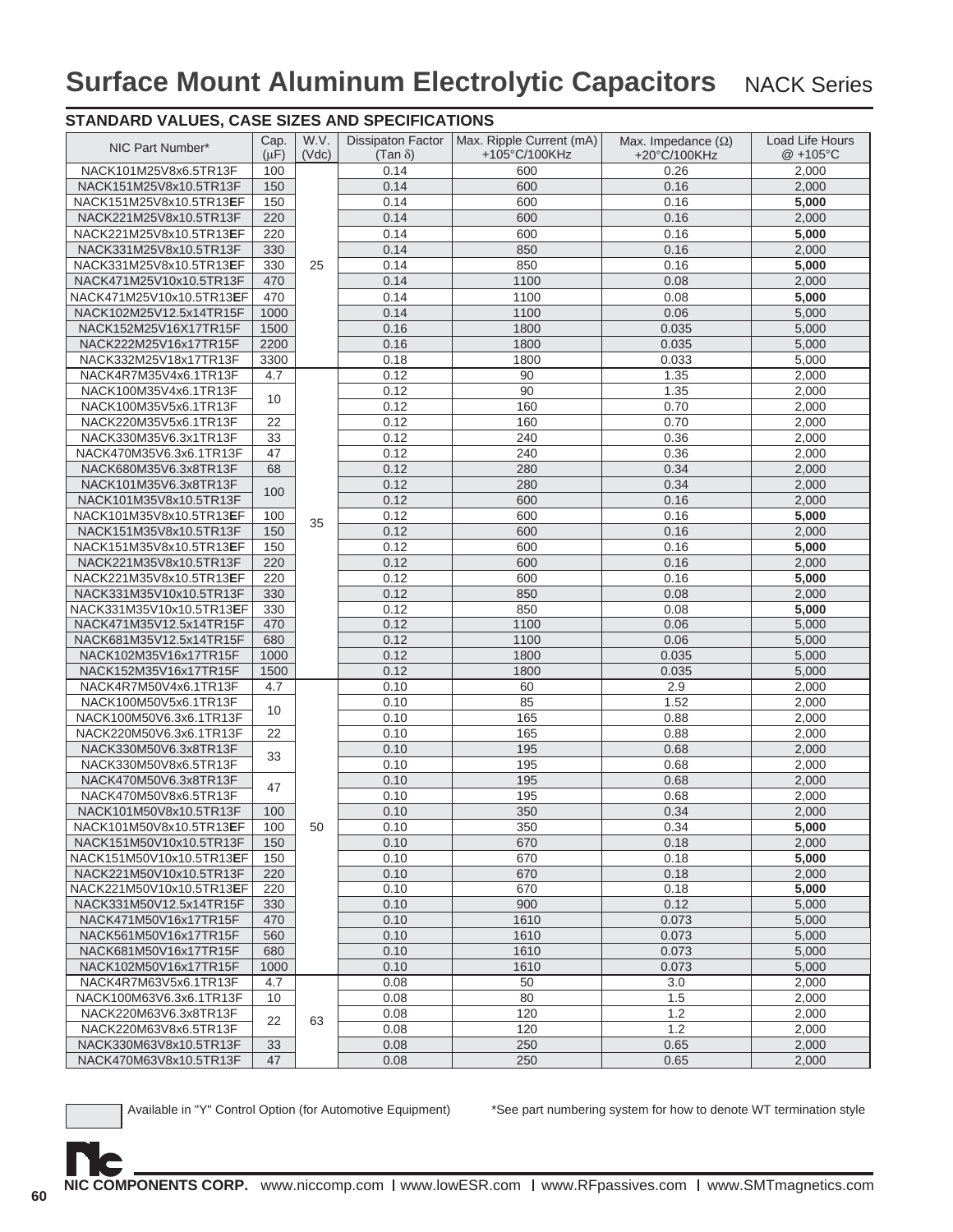### **STANDARD VALUES, CASE SIZES AND SPECIFICATIONS**

| NIC Part Number*                                   | Cap.<br>$(\mu F)$ | W.V.<br>(Vdc) | <b>Dissipaton Factor</b><br>$(Tan \delta)$ | Max. Ripple Current (mA)<br>+105°C/100KHz | Max. Impedance $(\Omega)$<br>+20°C/100KHz | <b>Load Life Hours</b><br>$@ + 105°C$ |
|----------------------------------------------------|-------------------|---------------|--------------------------------------------|-------------------------------------------|-------------------------------------------|---------------------------------------|
| NACK101M25V8x6.5TR13F                              | 100               |               | 0.14                                       | 600                                       | 0.26                                      | 2,000                                 |
| NACK151M25V8x10.5TR13F                             | 150               |               | 0.14                                       | 600                                       | 0.16                                      | 2,000                                 |
| NACK151M25V8x10.5TR13EF                            | 150               |               | 0.14                                       | 600                                       | 0.16                                      | 5,000                                 |
| NACK221M25V8x10.5TR13F                             | 220               |               | 0.14                                       | 600                                       | 0.16                                      | 2,000                                 |
| NACK221M25V8x10.5TR13EF                            | 220               |               | 0.14                                       | 600                                       | 0.16                                      | 5,000                                 |
| NACK331M25V8x10.5TR13F                             | 330               |               | 0.14                                       | 850                                       | 0.16                                      | 2,000                                 |
| NACK331M25V8x10.5TR13EF                            | 330               | 25            | 0.14                                       | 850                                       | 0.16                                      | 5,000                                 |
| NACK471M25V10x10.5TR13F                            | 470               |               | 0.14                                       | 1100                                      | 0.08                                      | 2,000                                 |
| NACK471M25V10x10.5TR13EF                           | 470               |               | 0.14                                       | 1100                                      | 0.08                                      | 5,000                                 |
| NACK102M25V12.5x14TR15F                            | 1000              |               | 0.14                                       | 1100                                      | 0.06                                      | 5,000                                 |
| NACK152M25V16X17TR15F                              | 1500              |               | 0.16                                       | 1800                                      | 0.035                                     | 5,000                                 |
| NACK222M25V16x17TR15F                              | 2200              |               | 0.16                                       | 1800                                      | 0.035                                     | 5,000                                 |
| NACK332M25V18x17TR13F                              | 3300              |               | 0.18                                       | 1800                                      | 0.033                                     | 5,000                                 |
| NACK4R7M35V4x6.1TR13F                              | 4.7               |               | 0.12                                       | 90                                        | 1.35                                      | 2,000                                 |
| NACK100M35V4x6.1TR13F                              | 10                |               | 0.12                                       | 90                                        | 1.35                                      | 2,000                                 |
| NACK100M35V5x6.1TR13F                              |                   |               | 0.12                                       | 160                                       | 0.70                                      | 2,000                                 |
| NACK220M35V5x6.1TR13F                              | 22                |               | 0.12                                       | 160                                       | 0.70                                      | 2,000                                 |
| NACK330M35V6.3x1TR13F                              | 33                |               | 0.12                                       | 240                                       | 0.36                                      | 2,000                                 |
| NACK470M35V6.3x6.1TR13F                            | 47                |               | 0.12                                       | 240                                       | 0.36                                      | 2,000                                 |
| NACK680M35V6.3x8TR13F                              | 68                |               | 0.12                                       | 280                                       | 0.34                                      | 2,000                                 |
| NACK101M35V6.3x8TR13F                              | 100               |               | 0.12                                       | 280                                       | 0.34                                      | 2,000                                 |
| NACK101M35V8x10.5TR13F                             |                   |               | 0.12                                       | 600                                       | 0.16                                      | 2,000                                 |
| NACK101M35V8x10.5TR13EF                            | 100               | 35            | 0.12                                       | 600                                       | 0.16                                      | 5,000                                 |
| NACK151M35V8x10.5TR13F                             | 150               |               | 0.12                                       | 600                                       | 0.16                                      | 2,000                                 |
| NACK151M35V8x10.5TR13EF                            | 150               |               | 0.12                                       | 600                                       | 0.16                                      | 5,000                                 |
| NACK221M35V8x10.5TR13F                             | 220               |               | 0.12                                       | 600                                       | 0.16                                      | 2,000                                 |
| NACK221M35V8x10.5TR13EF                            | 220               |               | 0.12                                       | 600                                       | 0.16                                      | 5,000                                 |
| NACK331M35V10x10.5TR13F                            | 330               |               | 0.12                                       | 850                                       | 0.08                                      | 2,000                                 |
| NACK331M35V10x10.5TR13EF                           | 330               |               | 0.12                                       | 850                                       | 0.08                                      | 5,000                                 |
| NACK471M35V12.5x14TR15F<br>NACK681M35V12.5x14TR15F | 470<br>680        |               | 0.12<br>0.12                               | 1100<br>1100                              | 0.06<br>0.06                              | 5,000                                 |
| NACK102M35V16x17TR15F                              | 1000              |               | 0.12                                       | 1800                                      | 0.035                                     | 5,000<br>5,000                        |
|                                                    | 1500              |               | 0.12                                       | 1800                                      |                                           |                                       |
| NACK152M35V16x17TR15F<br>NACK4R7M50V4x6.1TR13F     | 4.7               |               | 0.10                                       | 60                                        | 0.035<br>2.9                              | 5,000<br>2,000                        |
| NACK100M50V5x6.1TR13F                              |                   |               | 0.10                                       | 85                                        | 1.52                                      | 2,000                                 |
| NACK100M50V6.3x6.1TR13F                            | 10                |               | 0.10                                       | 165                                       | 0.88                                      | 2,000                                 |
| NACK220M50V6.3x6.1TR13F                            | 22                |               | 0.10                                       | 165                                       | 0.88                                      | 2,000                                 |
| NACK330M50V6.3x8TR13F                              |                   |               | 0.10                                       | 195                                       | 0.68                                      | 2.000                                 |
| NACK330M50V8x6.5TR13F                              | 33                |               | 0.10                                       | 195                                       | 0.68                                      | 2,000                                 |
| NACK470M50V6.3x8TR13F                              |                   |               | 0.10                                       | 195                                       | 0.68                                      | 2,000                                 |
| NACK470M50V8x6.5TR13F                              | 47                |               | 0.10                                       | 195                                       | 0.68                                      | 2,000                                 |
| NACK101M50V8x10.5TR13F                             | 100               |               | 0.10                                       | 350                                       | 0.34                                      | 2,000                                 |
| NACK101M50V8x10.5TR13EF                            | 100               | 50            | 0.10                                       | 350                                       | 0.34                                      | 5,000                                 |
| NACK151M50V10x10.5TR13F                            | 150               |               | 0.10                                       | 670                                       | 0.18                                      | 2,000                                 |
| NACK151M50V10x10.5TR13EF                           | 150               |               | 0.10                                       | 670                                       | 0.18                                      | 5,000                                 |
| NACK221M50V10x10.5TR13F                            | 220               |               | 0.10                                       | 670                                       | 0.18                                      | 2,000                                 |
| NACK221M50V10x10.5TR13EF                           | 220               |               | 0.10                                       | 670                                       | 0.18                                      | 5,000                                 |
| NACK331M50V12.5x14TR15F                            | 330               |               | 0.10                                       | 900                                       | 0.12                                      | 5,000                                 |
| NACK471M50V16x17TR15F                              | 470               |               | 0.10                                       | 1610                                      | 0.073                                     | 5,000                                 |
| NACK561M50V16x17TR15F                              | 560               |               | 0.10                                       | 1610                                      | 0.073                                     | 5,000                                 |
| NACK681M50V16x17TR15F                              | 680               |               | 0.10                                       | 1610                                      | 0.073                                     | 5,000                                 |
| NACK102M50V16x17TR15F                              | 1000              |               | 0.10                                       | 1610                                      | 0.073                                     | 5,000                                 |
| NACK4R7M63V5x6.1TR13F                              | 4.7               |               | 0.08                                       | 50                                        | 3.0                                       | 2,000                                 |
| NACK100M63V6.3x6.1TR13F                            | 10                |               | 0.08                                       | 80                                        | 1.5                                       | 2,000                                 |
| NACK220M63V6.3x8TR13F                              |                   |               | 0.08                                       | 120                                       | 1.2                                       | 2,000                                 |
| NACK220M63V8x6.5TR13F                              | 22                | 63            | 0.08                                       | 120                                       | 1.2                                       | 2,000                                 |
| NACK330M63V8x10.5TR13F                             | 33                |               | 0.08                                       | 250                                       | 0.65                                      | 2,000                                 |
| NACK470M63V8x10.5TR13F                             | 47                |               | 0.08                                       | 250                                       | 0.65                                      | 2,000                                 |

Available in "Y" Control Option (for Automotive Equipment) \*See part numbering system for how to denote WT termination style

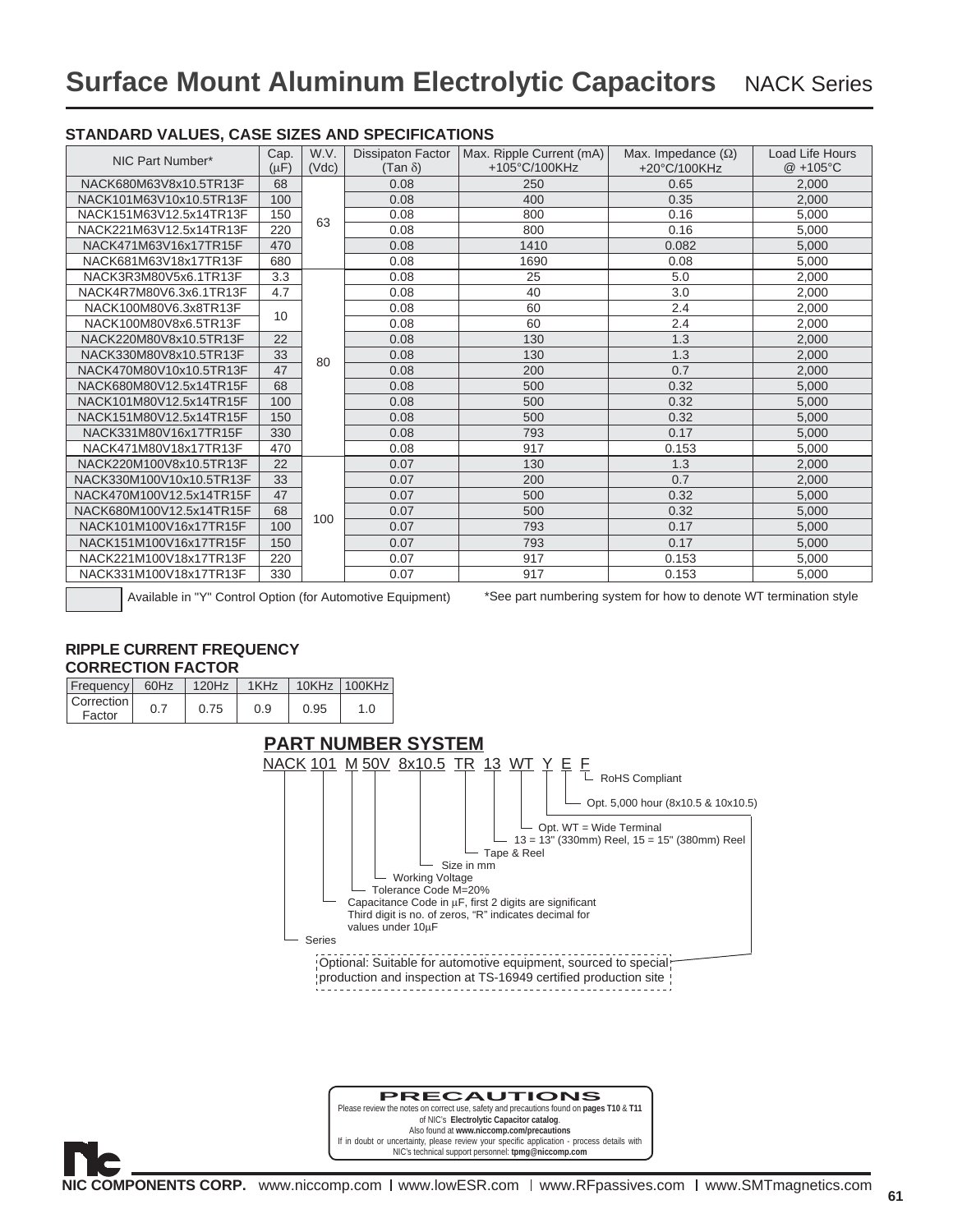| NIC Part Number*         | Cap.<br>$(\mu F)$ | W.V.<br>(Vdc) | <b>Dissipaton Factor</b><br>(Tan $\delta$ ) | Max. Ripple Current (mA)<br>+105°C/100KHz | Max. Impedance $(\Omega)$<br>+20°C/100KHz | <b>Load Life Hours</b><br>@ +105°C |
|--------------------------|-------------------|---------------|---------------------------------------------|-------------------------------------------|-------------------------------------------|------------------------------------|
| NACK680M63V8x10.5TR13F   | 68                |               | 0.08                                        | 250                                       | 0.65                                      | 2,000                              |
| NACK101M63V10x10.5TR13F  | 100               |               | 0.08                                        | 400                                       | 0.35                                      | 2.000                              |
| NACK151M63V12.5x14TR13F  | 150               |               | 0.08                                        | 800                                       | 0.16                                      | 5,000                              |
| NACK221M63V12.5x14TR13F  | 220               | 63            | 0.08                                        | 800                                       | 0.16                                      | 5,000                              |
| NACK471M63V16x17TR15F    | 470               |               | 0.08                                        | 1410                                      | 0.082                                     | 5,000                              |
| NACK681M63V18x17TR13F    | 680               |               | 0.08                                        | 1690                                      | 0.08                                      | 5,000                              |
| NACK3R3M80V5x6.1TR13F    | 3.3               |               | 0.08                                        | 25                                        | 5.0                                       | 2,000                              |
| NACK4R7M80V6.3x6.1TR13F  | 4.7               |               | 0.08                                        | 40                                        | 3.0                                       | 2,000                              |
| NACK100M80V6.3x8TR13F    | 10                |               | 0.08                                        | 60                                        | 2.4                                       | 2,000                              |
| NACK100M80V8x6.5TR13F    |                   |               | 0.08                                        | 60                                        | 2.4                                       | 2.000                              |
| NACK220M80V8x10.5TR13F   | 22                |               | 0.08                                        | 130                                       | 1.3                                       | 2,000                              |
| NACK330M80V8x10.5TR13F   | 33                | 80            | 0.08                                        | 130                                       | 1.3                                       | 2,000                              |
| NACK470M80V10x10.5TR13F  | 47                |               | 0.08                                        | 200                                       | 0.7                                       | 2,000                              |
| NACK680M80V12.5x14TR15F  | 68                |               | 0.08                                        | 500                                       | 0.32                                      | 5,000                              |
| NACK101M80V12.5x14TR15F  | 100               |               | 0.08                                        | 500                                       | 0.32                                      | 5,000                              |
| NACK151M80V12.5x14TR15F  | 150               |               | 0.08                                        | 500                                       | 0.32                                      | 5,000                              |
| NACK331M80V16x17TR15F    | 330               |               | 0.08                                        | 793                                       | 0.17                                      | 5,000                              |
| NACK471M80V18x17TR13F    | 470               |               | 0.08                                        | 917                                       | 0.153                                     | 5,000                              |
| NACK220M100V8x10.5TR13F  | 22                |               | 0.07                                        | 130                                       | 1.3                                       | 2,000                              |
| NACK330M100V10x10.5TR13F | 33                |               | 0.07                                        | 200                                       | 0.7                                       | 2,000                              |
| NACK470M100V12.5x14TR15F | 47                |               | 0.07                                        | 500                                       | 0.32                                      | 5,000                              |
| NACK680M100V12.5x14TR15F | 68                | 100           | 0.07                                        | 500                                       | 0.32                                      | 5,000                              |
| NACK101M100V16x17TR15F   | 100               |               | 0.07                                        | 793                                       | 0.17                                      | 5,000                              |
| NACK151M100V16x17TR15F   | 150               |               | 0.07                                        | 793                                       | 0.17                                      | 5,000                              |
| NACK221M100V18x17TR13F   | 220               |               | 0.07                                        | 917                                       | 0.153                                     | 5,000                              |
| NACK331M100V18x17TR13F   | 330               |               | 0.07                                        | 917                                       | 0.153                                     | 5,000                              |

#### **STANDARD VALUES, CASE SIZES AND SPECIFICATIONS**

Available in "Y" Control Option (for Automotive Equipment)

\*See part numbering system for how to denote WT termination style

#### **RIPPLE CURRENT FREQUENCY CORRECTION FACTOR**



#### **PRECAUTIONS** Please review the notes on correct use, safety and precautions found on **pages T10** & **T11** of NIC's **Electrolytic Capacitor catalog**.

Also found at **www.niccomp.com/precautions**  If in doubt or uncertainty, please review your specifi c application - process details with NIC's technical support personnel: **tpmg@niccomp.com**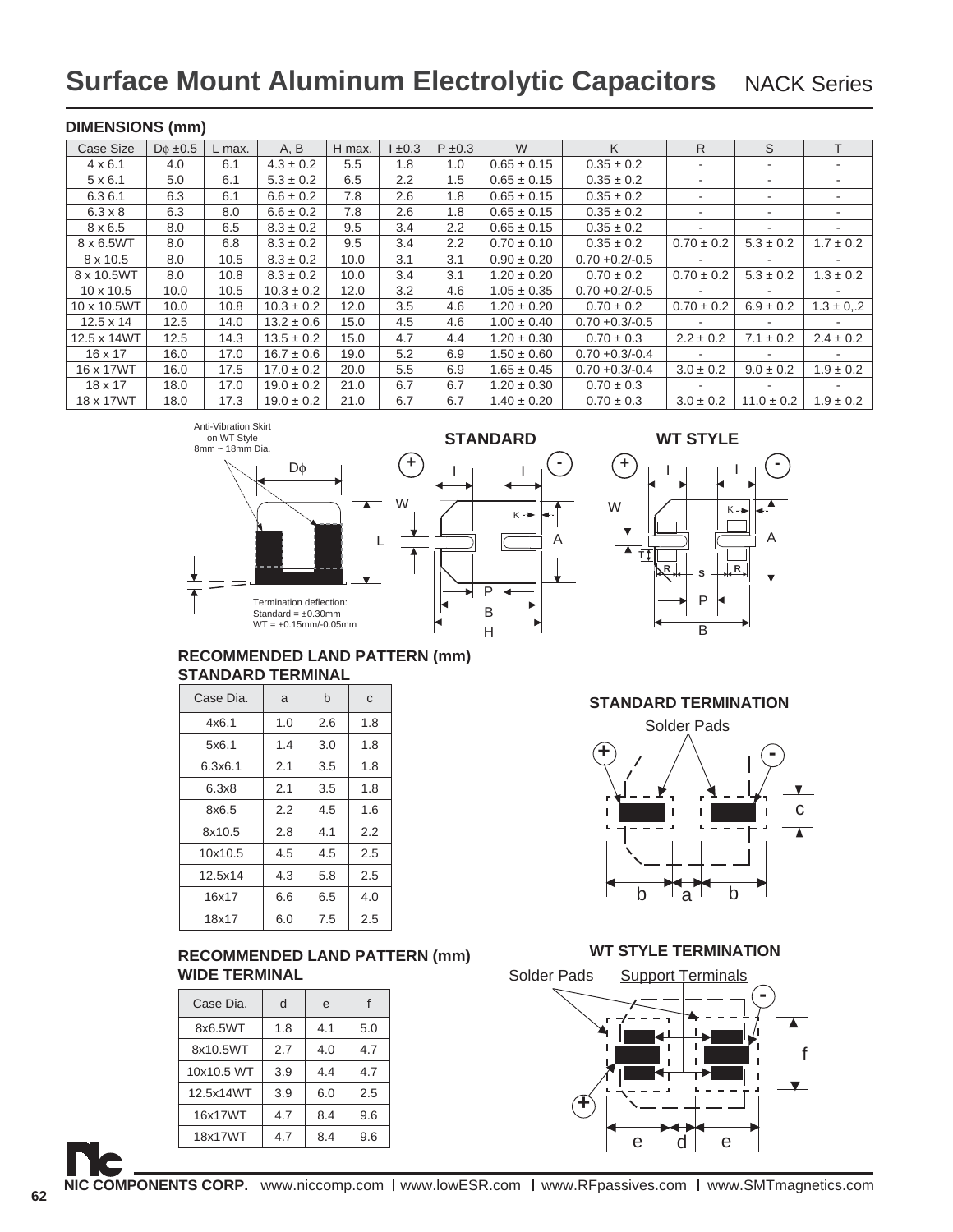#### **DIMENSIONS (mm)**

| Case Size        | $D\phi \pm 0.5$ | L max. | A, B           | H max. | ±0.3             | $P \pm 0.3$ | W               | K                 | R                        | S                        |                          |
|------------------|-----------------|--------|----------------|--------|------------------|-------------|-----------------|-------------------|--------------------------|--------------------------|--------------------------|
| $4 \times 6.1$   | 4.0             | 6.1    | $4.3 \pm 0.2$  | 5.5    | 1.8              | 1.0         | $0.65 \pm 0.15$ | $0.35 \pm 0.2$    |                          |                          |                          |
| $5 \times 6.1$   | 5.0             | 6.1    | $5.3 \pm 0.2$  | 6.5    | $2.2\phantom{0}$ | 1.5         | $0.65 \pm 0.15$ | $0.35 \pm 0.2$    |                          | ۰                        |                          |
| 6.3 6.1          | 6.3             | 6.1    | $6.6 \pm 0.2$  | 7.8    | 2.6              | 1.8         | $0.65 \pm 0.15$ | $0.35 \pm 0.2$    |                          | ٠                        | $\overline{\phantom{a}}$ |
| $6.3 \times 8$   | 6.3             | 8.0    | $6.6 \pm 0.2$  | 7.8    | $2.6\,$          | 1.8         | $0.65 \pm 0.15$ | $0.35 \pm 0.2$    |                          | ۰                        | $\overline{\phantom{a}}$ |
| $8 \times 6.5$   | 8.0             | 6.5    | $8.3 \pm 0.2$  | 9.5    | 3.4              | 2.2         | $0.65 \pm 0.15$ | $0.35 \pm 0.2$    |                          |                          |                          |
| 8 x 6.5WT        | 8.0             | 6.8    | $8.3 \pm 0.2$  | 9.5    | 3.4              | 2.2         | $0.70 \pm 0.10$ | $0.35 \pm 0.2$    | $0.70 \pm 0.2$           | $5.3 \pm 0.2$            | $1.7 \pm 0.2$            |
| 8 x 10.5         | 8.0             | 10.5   | $8.3 \pm 0.2$  | 10.0   | 3.1              | 3.1         | $0.90 \pm 0.20$ | $0.70 + 0.2/-0.5$ |                          |                          |                          |
| 8 x 10.5WT       | 8.0             | 10.8   | $8.3 \pm 0.2$  | 10.0   | 3.4              | 3.1         | $1.20 \pm 0.20$ | $0.70 \pm 0.2$    | $0.70 \pm 0.2$           | $5.3 \pm 0.2$            | $1.3 \pm 0.2$            |
| $10 \times 10.5$ | 10.0            | 10.5   | $10.3 \pm 0.2$ | 12.0   | 3.2              | 4.6         | $1.05 \pm 0.35$ | $0.70 + 0.2/-0.5$ | $\overline{\phantom{a}}$ | ٠                        |                          |
| 10 x 10.5WT      | 10.0            | 10.8   | $10.3 \pm 0.2$ | 12.0   | 3.5              | 4.6         | $1.20 \pm 0.20$ | $0.70 \pm 0.2$    | $0.70 \pm 0.2$           | $6.9 \pm 0.2$            | $1.3 \pm 0.2$            |
| $12.5 \times 14$ | 12.5            | 14.0   | $13.2 \pm 0.6$ | 15.0   | 4.5              | 4.6         | $1.00 \pm 0.40$ | $0.70 + 0.3/-0.5$ |                          | $\overline{\phantom{a}}$ |                          |
| 12.5 x 14WT      | 12.5            | 14.3   | $13.5 \pm 0.2$ | 15.0   | 4.7              | 4.4         | $1.20 \pm 0.30$ | $0.70 \pm 0.3$    | $2.2 \pm 0.2$            | $7.1 \pm 0.2$            | $2.4 \pm 0.2$            |
| $16 \times 17$   | 16.0            | 17.0   | $16.7 \pm 0.6$ | 19.0   | 5.2              | 6.9         | $1.50 \pm 0.60$ | $0.70 + 0.3/-0.4$ |                          |                          |                          |
| 16 x 17WT        | 16.0            | 17.5   | $17.0 \pm 0.2$ | 20.0   | 5.5              | 6.9         | $1.65 \pm 0.45$ | $0.70 + 0.3/-0.4$ | $3.0 \pm 0.2$            | $9.0 \pm 0.2$            | $1.9 \pm 0.2$            |
| $18 \times 17$   | 18.0            | 17.0   | $19.0 \pm 0.2$ | 21.0   | 6.7              | 6.7         | $1.20 \pm 0.30$ | $0.70 \pm 0.3$    | $\overline{\phantom{a}}$ | ٠                        | $\sim$                   |
| 18 x 17WT        | 18.0            | 17.3   | $19.0 \pm 0.2$ | 21.0   | 6.7              | 6.7         | $1.40 \pm 0.20$ | $0.70 \pm 0.3$    | $3.0 \pm 0.2$            | $11.0 \pm 0.2$           | $1.9 \pm 0.2$            |

Anti-Vibration Skirt on WT Style









#### **RECOMMENDED LAND PATTERN (mm) STANDARD TERMINAL**

| Case Dia. | a   | b   | C   |
|-----------|-----|-----|-----|
| 4x6.1     | 1.0 | 2.6 | 1.8 |
| 5x6.1     | 1.4 | 3.0 | 1.8 |
| 6.3x6.1   | 2.1 | 3.5 | 1.8 |
| 6.3x8     | 2.1 | 3.5 | 1.8 |
| 8x6.5     | 2.2 | 4.5 | 1.6 |
| 8x10.5    | 2.8 | 4.1 | 2.2 |
| 10x10.5   | 4.5 | 4.5 | 2.5 |
| 12.5x14   | 4.3 | 5.8 | 2.5 |
| 16x17     | 6.6 | 6.5 | 4.0 |
| 18x17     | 6.0 | 7.5 | 2.5 |

### **RECOMMENDED LAND PATTERN (mm) WT STYLE TERMINATION WIDE TERMINAL**

| Case Dia.  | d   | e   |     |
|------------|-----|-----|-----|
| 8x6.5WT    | 1.8 | 4.1 | 5.0 |
| 8x10.5WT   | 2.7 | 4.0 | 4.7 |
| 10x10.5 WT | 3.9 | 4.4 | 4.7 |
| 12.5x14WT  | 3.9 | 6.0 | 2.5 |
| 16x17WT    | 4.7 | 8.4 | 9.6 |
| 18x17WT    | 4.7 | 8.4 | 9.6 |



**62**

#### **STANDARD TERMINATION**